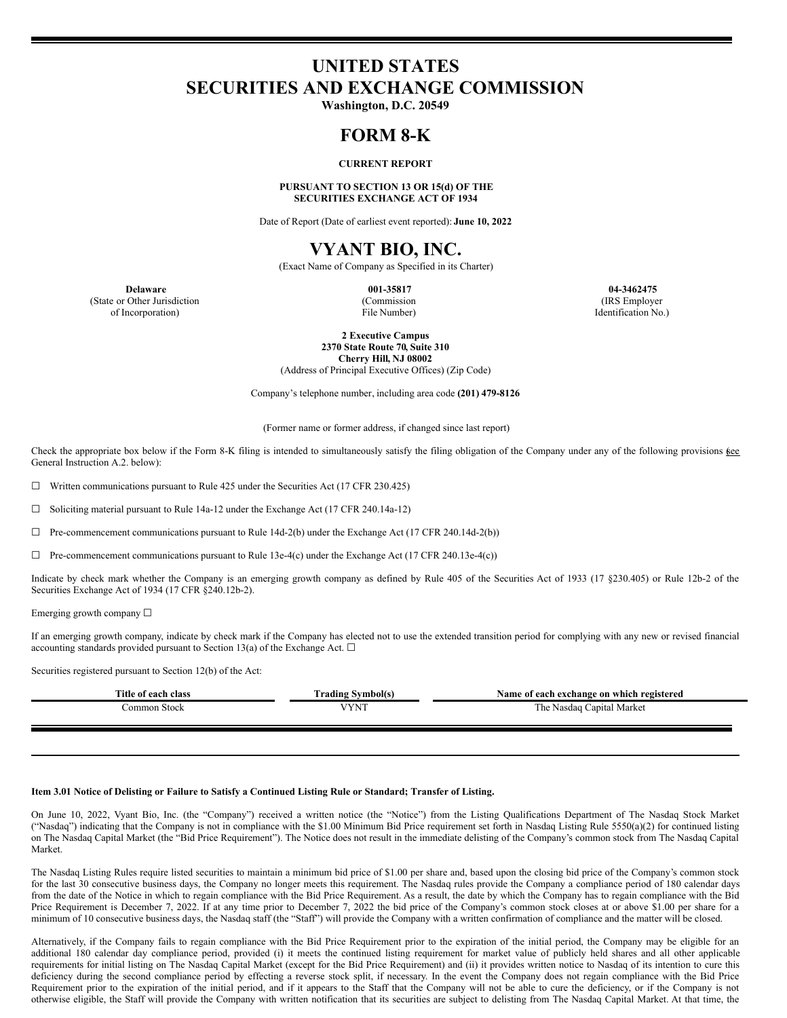# **UNITED STATES SECURITIES AND EXCHANGE COMMISSION**

**Washington, D.C. 20549**

## **FORM 8-K**

### **CURRENT REPORT**

**PURSUANT TO SECTION 13 OR 15(d) OF THE SECURITIES EXCHANGE ACT OF 1934**

Date of Report (Date of earliest event reported): **June 10, 2022**

# **VYANT BIO, INC.**

(Exact Name of Company as Specified in its Charter)

(State or Other Jurisdiction of Incorporation)

(Commission File Number)

**Delaware 001-35817 04-3462475** (IRS Employer Identification No.)

> **2 Executive Campus 2370 State Route 70, Suite 310 Cherry Hill, NJ 08002**

(Address of Principal Executive Offices) (Zip Code)

Company's telephone number, including area code **(201) 479-8126**

(Former name or former address, if changed since last report)

Check the appropriate box below if the Form 8-K filing is intended to simultaneously satisfy the filing obligation of the Company under any of the following provisions (see General Instruction A.2. below):

☐ Written communications pursuant to Rule 425 under the Securities Act (17 CFR 230.425)

☐ Soliciting material pursuant to Rule 14a-12 under the Exchange Act (17 CFR 240.14a-12)

 $\Box$  Pre-commencement communications pursuant to Rule 14d-2(b) under the Exchange Act (17 CFR 240.14d-2(b))

 $\Box$  Pre-commencement communications pursuant to Rule 13e-4(c) under the Exchange Act (17 CFR 240.13e-4(c))

Indicate by check mark whether the Company is an emerging growth company as defined by Rule 405 of the Securities Act of 1933 (17 §230.405) or Rule 12b-2 of the Securities Exchange Act of 1934 (17 CFR §240.12b-2).

Emerging growth company ☐

If an emerging growth company, indicate by check mark if the Company has elected not to use the extended transition period for complying with any new or revised financial accounting standards provided pursuant to Section 13(a) of the Exchange Act.  $\Box$ 

Securities registered pursuant to Section 12(b) of the Act:

| Title of each class | Trading Svmbol(s)      | Name of each exchange on which registered |
|---------------------|------------------------|-------------------------------------------|
| ∴ommon Stock        | <b>LIVAIT</b><br>TIA . | Capital Market<br>mı<br>Nasdao<br>. ne    |
|                     |                        |                                           |

#### Item 3.01 Notice of Delisting or Failure to Satisfy a Continued Listing Rule or Standard; Transfer of Listing,

On June 10, 2022, Vyant Bio, Inc. (the "Company") received a written notice (the "Notice") from the Listing Qualifications Department of The Nasdaq Stock Market ("Nasdaq") indicating that the Company is not in compliance with the \$1.00 Minimum Bid Price requirement set forth in Nasdaq Listing Rule 5550(a)(2) for continued listing on The Nasdaq Capital Market (the "Bid Price Requirement"). The Notice does not result in the immediate delisting of the Company's common stock from The Nasdaq Capital Market.

The Nasdaq Listing Rules require listed securities to maintain a minimum bid price of \$1.00 per share and, based upon the closing bid price of the Company's common stock for the last 30 consecutive business days, the Company no longer meets this requirement. The Nasdaq rules provide the Company a compliance period of 180 calendar days from the date of the Notice in which to regain compliance with the Bid Price Requirement. As a result, the date by which the Company has to regain compliance with the Bid Price Requirement is December 7, 2022. If at any time prior to December 7, 2022 the bid price of the Company's common stock closes at or above \$1.00 per share for a minimum of 10 consecutive business days, the Nasdaq staff (the "Staff") will provide the Company with a written confirmation of compliance and the matter will be closed.

Alternatively, if the Company fails to regain compliance with the Bid Price Requirement prior to the expiration of the initial period, the Company may be eligible for an additional 180 calendar day compliance period, provided (i) it meets the continued listing requirement for market value of publicly held shares and all other applicable requirements for initial listing on The Nasdaq Capital Market (except for the Bid Price Requirement) and (ii) it provides written notice to Nasdaq of its intention to cure this deficiency during the second compliance period by effecting a reverse stock split, if necessary. In the event the Company does not regain compliance with the Bid Price Requirement prior to the expiration of the initial period, and if it appears to the Staff that the Company will not be able to cure the deficiency, or if the Company is not otherwise eligible, the Staff will provide the Company with written notification that its securities are subject to delisting from The Nasdaq Capital Market. At that time, the